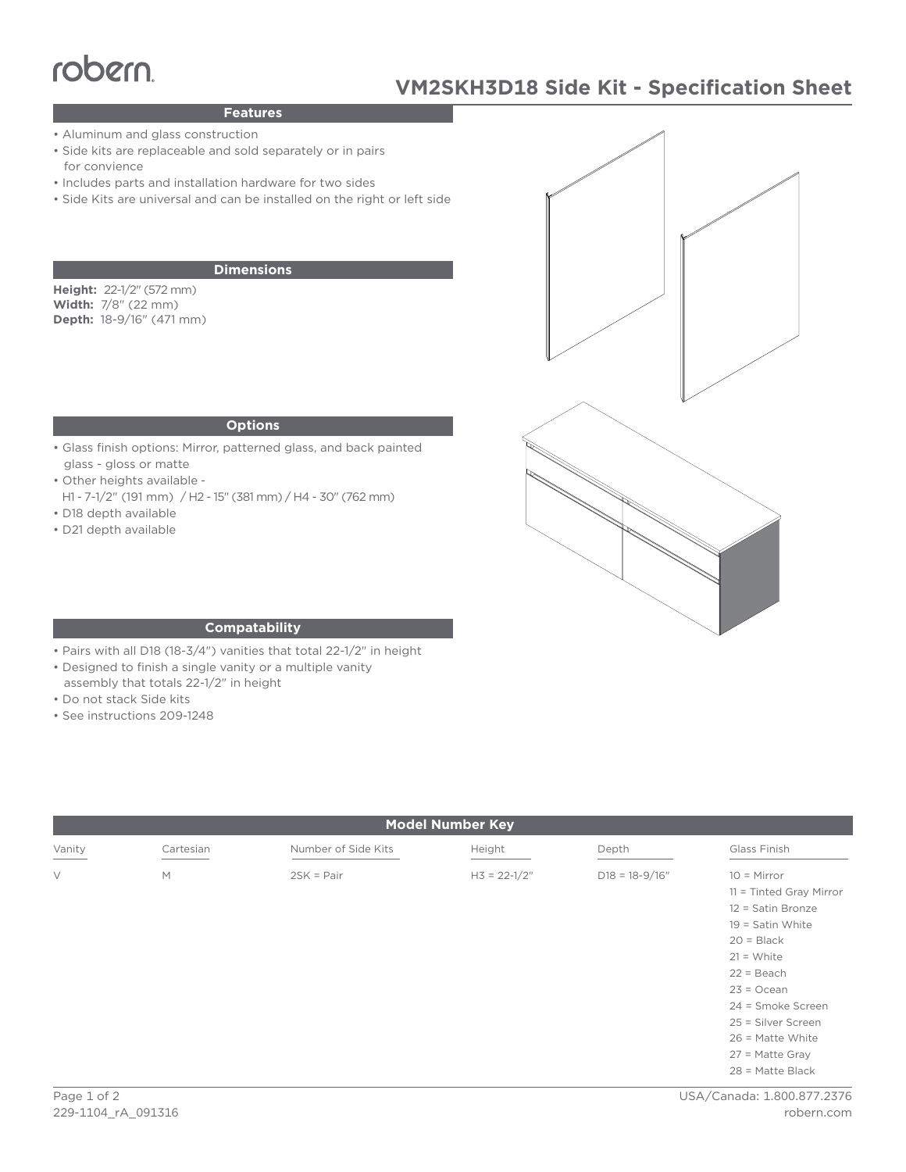# Features<br>
Paluminum and glass construction

# **VM2SKH3D18 Side Kit - Specification Sheet**

### **Features**

- Aluminum and glass construction
- Side kits are replaceable and sold separately or in pairs for convience
- Includes parts and installation hardware for two sides
- Side Kits are universal and can be installed on the right or left side

#### **Dimensions**

**Height:** 22-1/2" (572 mm) **Width:** 7/8" (22 mm) **Depth:** 18-9/16" (471 mm)

#### **Options**

- Glass finish options: Mirror, patterned glass, and back painted glass - gloss or matte
- Other heights available -
- H1 7-1/2" (191 mm) / H2 15" (381 mm) / H4 30" (762 mm) • D18 depth available
- 
- D21 depth available



#### **Compatability**

- Pairs with all D18 (18-3/4") vanities that total 22-1/2" in height
- Designed to finish a single vanity or a multiple vanity
- assembly that totals 22-1/2" in height
- Do not stack Side kits
- See instructions 209-1248

| <b>Model Number Key</b> |           |                     |                  |                    |                                                                                                                                                          |
|-------------------------|-----------|---------------------|------------------|--------------------|----------------------------------------------------------------------------------------------------------------------------------------------------------|
| Vanity                  | Cartesian | Number of Side Kits | Height           | Depth              | Glass Finish                                                                                                                                             |
| $\vee$                  | M         | $2SK = Pair$        | $H3 = 22 - 1/2"$ | $D18 = 18 - 9/16"$ | $10 =$ Mirror<br>$11 =$ Tinted Gray Mirror<br>12 = Satin Bronze<br>$19 =$ Satin White<br>$20 = Black$                                                    |
|                         |           |                     |                  |                    | $21 = White$<br>$22 = Beach$<br>$23 = Ocean$<br>24 = Smoke Screen<br>25 = Silver Screen<br>$26$ = Matte White<br>$27$ = Matte Gray<br>$28$ = Matte Black |